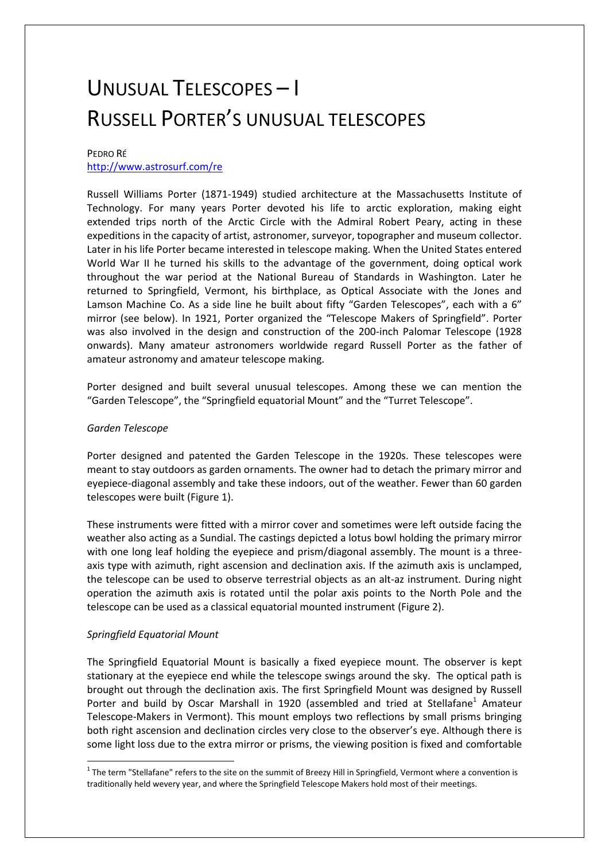# UNUSUAL TELESCOPES – I RUSSELL PORTER'S UNUSUAL TELESCOPES

## PEDRO RÉ

## <http://www.astrosurf.com/re>

Russell Williams Porter (1871-1949) studied architecture at the Massachusetts Institute of Technology. For many years Porter devoted his life to arctic exploration, making eight extended trips north of the Arctic Circle with the Admiral Robert Peary, acting in these expeditions in the capacity of artist, astronomer, surveyor, topographer and museum collector. Later in his life Porter became interested in telescope making. When the United States entered World War II he turned his skills to the advantage of the government, doing optical work throughout the war period at the National Bureau of Standards in Washington. Later he returned to Springfield, Vermont, his birthplace, as Optical Associate with the Jones and Lamson Machine Co. As a side line he built about fifty "Garden Telescopes", each with a 6" mirror (see below). In 1921, Porter organized the "Telescope Makers of Springfield". Porter was also involved in the design and construction of the 200-inch Palomar Telescope (1928 onwards). Many amateur astronomers worldwide regard Russell Porter as the father of amateur astronomy and amateur telescope making.

Porter designed and built several unusual telescopes. Among these we can mention the "Garden Telescope", the "Springfield equatorial Mount" and the "Turret Telescope".

#### *Garden Telescope*

Porter designed and patented the Garden Telescope in the 1920s. These telescopes were meant to stay outdoors as garden ornaments. The owner had to detach the primary mirror and eyepiece-diagonal assembly and take these indoors, out of the weather. Fewer than 60 garden telescopes were built (Figure 1).

These instruments were fitted with a mirror cover and sometimes were left outside facing the weather also acting as a Sundial. The castings depicted a lotus bowl holding the primary mirror with one long leaf holding the eyepiece and prism/diagonal assembly. The mount is a threeaxis type with azimuth, right ascension and declination axis. If the azimuth axis is unclamped, the telescope can be used to observe terrestrial objects as an alt-az instrument. During night operation the azimuth axis is rotated until the polar axis points to the North Pole and the telescope can be used as a classical equatorial mounted instrument (Figure 2).

#### *Springfield Equatorial Mount*

**.** 

The Springfield Equatorial Mount is basically a fixed eyepiece mount. The observer is kept stationary at the eyepiece end while the telescope swings around the sky. The optical path is brought out through the declination axis. The first Springfield Mount was designed by Russell Porter and build by Oscar Marshall in 1920 (assembled and tried at Stellafane<sup>1</sup> Amateur Telescope-Makers in Vermont). This mount employs two reflections by small prisms bringing both right ascension and declination circles very close to the observer's eye. Although there is some light loss due to the extra mirror or prisms, the viewing position is fixed and comfortable

 $1$  The term "Stellafane" refers to the site on the summit of Breezy Hill in Springfield, Vermont where a convention is traditionally held wevery year, and where the Springfield Telescope Makers hold most of their meetings.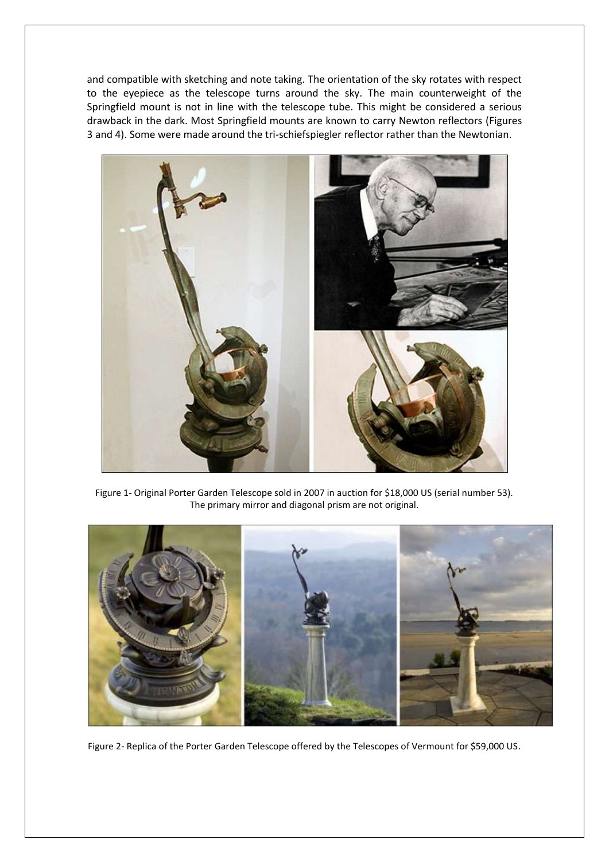and compatible with sketching and note taking. The orientation of the sky rotates with respect to the eyepiece as the telescope turns around the sky. The main counterweight of the Springfield mount is not in line with the telescope tube. This might be considered a serious drawback in the dark. Most Springfield mounts are known to carry Newton reflectors (Figures 3 and 4). Some were made around the tri-schiefspiegler reflector rather than the Newtonian.



Figure 1- Original Porter Garden Telescope sold in 2007 in auction for \$18,000 US (serial number 53). The primary mirror and diagonal prism are not original.



Figure 2- Replica of the Porter Garden Telescope offered by the Telescopes of Vermount for \$59,000 US.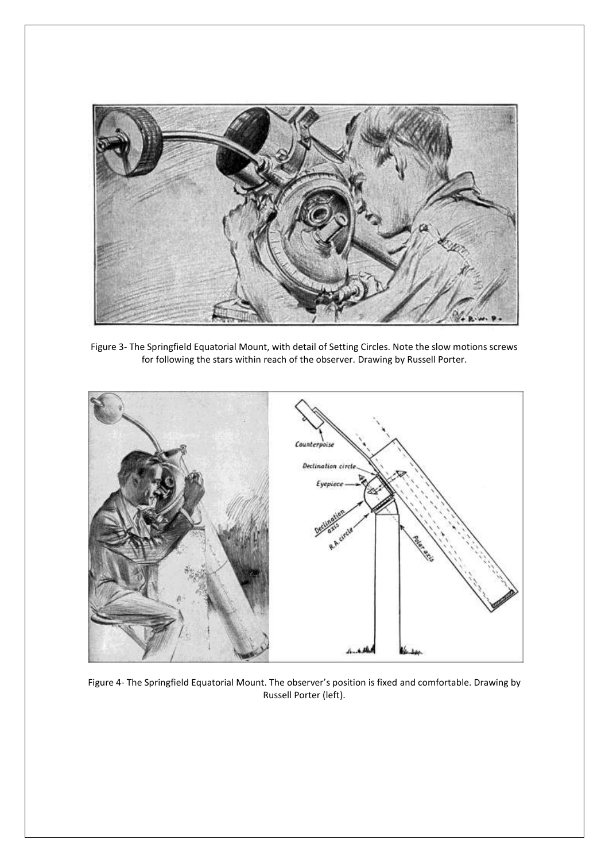

Figure 3- The Springfield Equatorial Mount, with detail of Setting Circles. Note the slow motions screws for following the stars within reach of the observer. Drawing by Russell Porter.



Figure 4- The Springfield Equatorial Mount. The observer's position is fixed and comfortable. Drawing by Russell Porter (left).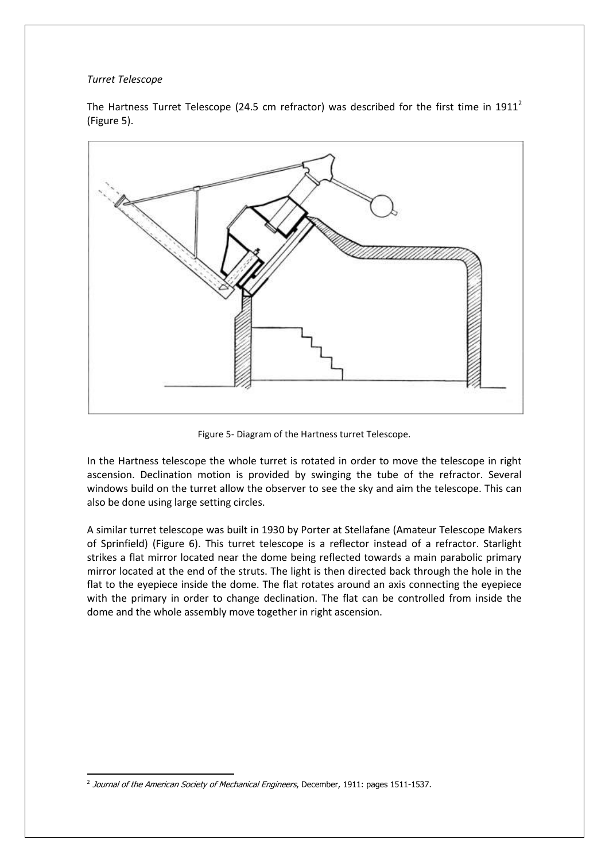### *Turret Telescope*

The Hartness Turret Telescope (24.5 cm refractor) was described for the first time in  $1911<sup>2</sup>$ (Figure 5).



Figure 5- Diagram of the Hartness turret Telescope.

In the Hartness telescope the whole turret is rotated in order to move the telescope in right ascension. Declination motion is provided by swinging the tube of the refractor. Several windows build on the turret allow the observer to see the sky and aim the telescope. This can also be done using large setting circles.

A similar turret telescope was built in 1930 by Porter at Stellafane (Amateur Telescope Makers of Sprinfield) (Figure 6). This turret telescope is a reflector instead of a refractor. Starlight strikes a flat mirror located near the dome being reflected towards a main parabolic primary mirror located at the end of the struts. The light is then directed back through the hole in the flat to the eyepiece inside the dome. The flat rotates around an axis connecting the eyepiece with the primary in order to change declination. The flat can be controlled from inside the dome and the whole assembly move together in right ascension.

**<sup>.</sup>** <sup>2</sup> Journal of the American Society of Mechanical Engineers, December, 1911: pages 1511-1537.